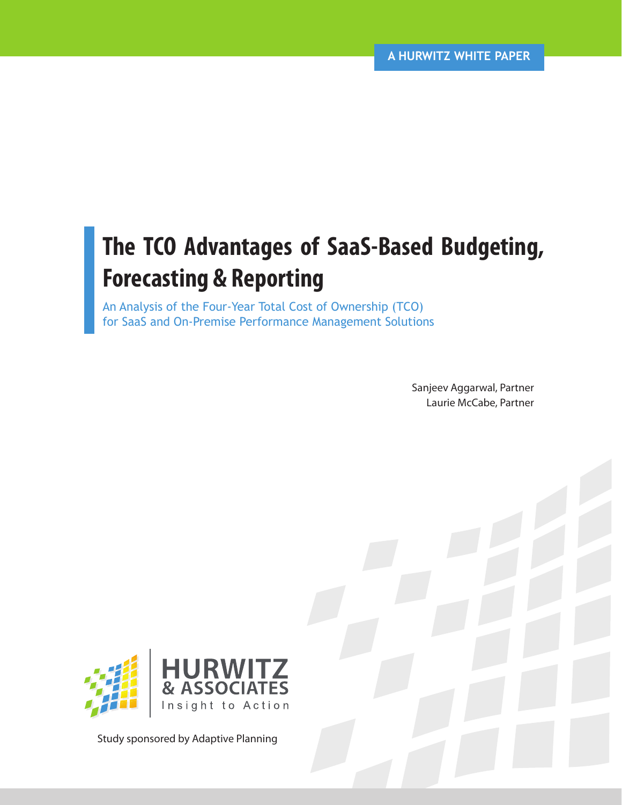# **The TCO Advantages of SaaS-Based Budgeting, Forecasting & Reporting**

An Analysis of the Four-Year Total Cost of Ownership (TCO) for SaaS and On-Premise Performance Management Solutions

> Sanjeev Aggarwal, Partner Laurie McCabe, Partner



Study sponsored by Adaptive Planning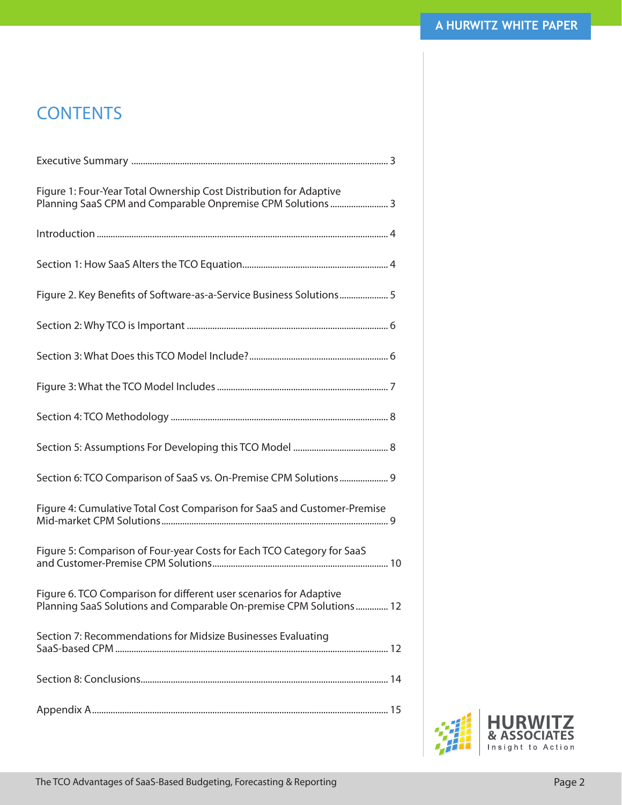# **CONTENTS**

| Figure 1: Four-Year Total Ownership Cost Distribution for Adaptive<br>Planning SaaS CPM and Comparable Onpremise CPM Solutions  3        |
|------------------------------------------------------------------------------------------------------------------------------------------|
|                                                                                                                                          |
|                                                                                                                                          |
| Figure 2. Key Benefits of Software-as-a-Service Business Solutions 5                                                                     |
|                                                                                                                                          |
|                                                                                                                                          |
|                                                                                                                                          |
|                                                                                                                                          |
|                                                                                                                                          |
| Section 6: TCO Comparison of SaaS vs. On-Premise CPM Solutions 9                                                                         |
| Figure 4: Cumulative Total Cost Comparison for SaaS and Customer-Premise                                                                 |
| Figure 5: Comparison of Four-year Costs for Each TCO Category for SaaS                                                                   |
| Figure 6. TCO Comparison for different user scenarios for Adaptive<br>Planning SaaS Solutions and Comparable On-premise CPM Solutions 12 |
| Section 7: Recommendations for Midsize Businesses Evaluating                                                                             |
|                                                                                                                                          |
|                                                                                                                                          |

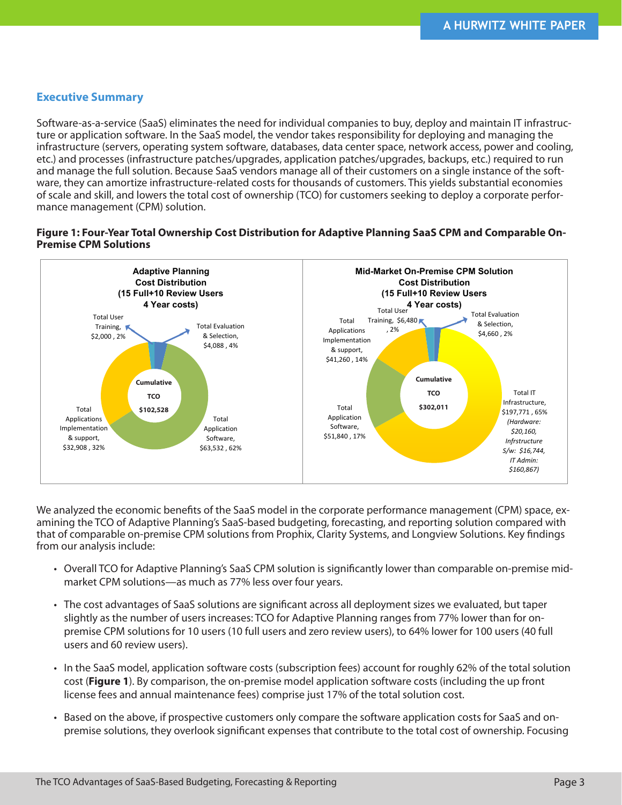# **Executive Summary**

Software-as-a-service (SaaS) eliminates the need for individual companies to buy, deploy and maintain IT infrastructure or application software. In the SaaS model, the vendor takes responsibility for deploying and managing the infrastructure (servers, operating system software, databases, data center space, network access, power and cooling, etc.) and processes (infrastructure patches/upgrades, application patches/upgrades, backups, etc.) required to run and manage the full solution. Because SaaS vendors manage all of their customers on a single instance of the software, they can amortize infrastructure-related costs for thousands of customers. This yields substantial economies of scale and skill, and lowers the total cost of ownership (TCO) for customers seeking to deploy a corporate performance management (CPM) solution.

#### **Figure 1: Four-Year Total Ownership Cost Distribution for Adaptive Planning SaaS CPM and Comparable On-Premise CPM Solutions**



We analyzed the economic benefits of the SaaS model in the corporate performance management (CPM) space, examining the TCO of Adaptive Planning's SaaS-based budgeting, forecasting, and reporting solution compared with that of comparable on-premise CPM solutions from Prophix, Clarity Systems, and Longview Solutions. Key findings from our analysis include:

- Overall TCO for Adaptive Planning's SaaS CPM solution is significantly lower than comparable on-premise midmarket CPM solutions—as much as 77% less over four years.
- The cost advantages of SaaS solutions are significant across all deployment sizes we evaluated, but taper slightly as the number of users increases: TCO for Adaptive Planning ranges from 77% lower than for onpremise CPM solutions for 10 users (10 full users and zero review users), to 64% lower for 100 users (40 full users and 60 review users).
- In the SaaS model, application software costs (subscription fees) account for roughly 62% of the total solution cost (**Figure 1**). By comparison, the on-premise model application software costs (including the up front license fees and annual maintenance fees) comprise just 17% of the total solution cost.
- Based on the above, if prospective customers only compare the software application costs for SaaS and onpremise solutions, they overlook significant expenses that contribute to the total cost of ownership. Focusing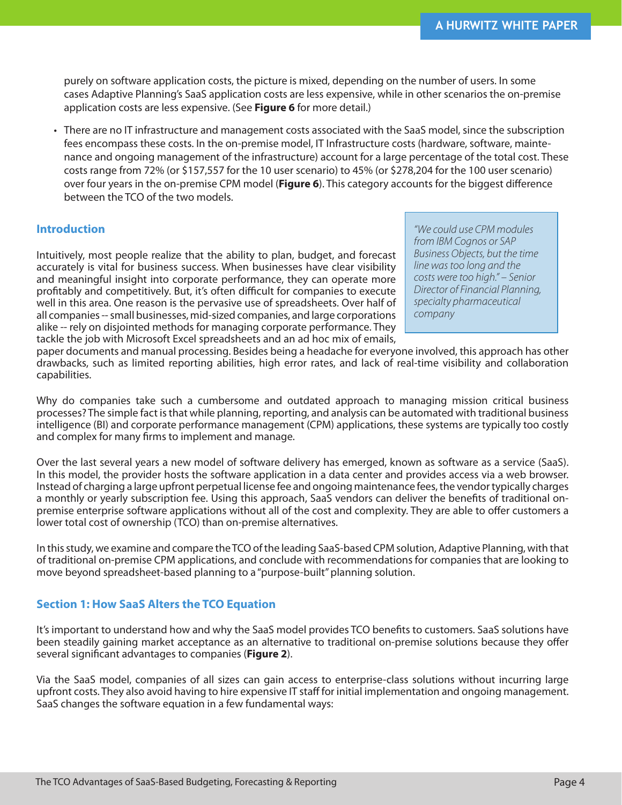purely on software application costs, the picture is mixed, depending on the number of users. In some cases Adaptive Planning's SaaS application costs are less expensive, while in other scenarios the on-premise application costs are less expensive. (See **Figure 6** for more detail.)

There are no IT infrastructure and management costs associated with the SaaS model, since the subscription • fees encompass these costs. In the on-premise model, IT Infrastructure costs (hardware, software, maintenance and ongoing management of the infrastructure) account for a large percentage of the total cost. These costs range from 72% (or \$157,557 for the 10 user scenario) to 45% (or \$278,204 for the 100 user scenario) over four years in the on-premise CPM model (**Figure 6**). This category accounts for the biggest difference between the TCO of the two models.

#### **Introduction**

Intuitively, most people realize that the ability to plan, budget, and forecast accurately is vital for business success. When businesses have clear visibility and meaningful insight into corporate performance, they can operate more profitably and competitively. But, it's often difficult for companies to execute well in this area. One reason is the pervasive use of spreadsheets. Over half of all companies -- small businesses, mid-sized companies, and large corporations alike -- rely on disjointed methods for managing corporate performance. They tackle the job with Microsoft Excel spreadsheets and an ad hoc mix of emails,

*"We could use CPM modules from IBM Cognos or SAP Business Objects, but the time line was too long and the costs were too high." – Senior Director of Financial Planning, specialty pharmaceutical company*

paper documents and manual processing. Besides being a headache for everyone involved, this approach has other drawbacks, such as limited reporting abilities, high error rates, and lack of real-time visibility and collaboration capabilities.

Why do companies take such a cumbersome and outdated approach to managing mission critical business processes? The simple fact is that while planning, reporting, and analysis can be automated with traditional business intelligence (BI) and corporate performance management (CPM) applications, these systems are typically too costly and complex for many firms to implement and manage.

Over the last several years a new model of software delivery has emerged, known as software as a service (SaaS). In this model, the provider hosts the software application in a data center and provides access via a web browser. Instead of charging a large upfront perpetual license fee and ongoing maintenance fees, the vendor typically charges a monthly or yearly subscription fee. Using this approach, SaaS vendors can deliver the benefits of traditional onpremise enterprise software applications without all of the cost and complexity. They are able to offer customers a lower total cost of ownership (TCO) than on-premise alternatives.

In this study, we examine and compare the TCO of the leading SaaS-based CPM solution, Adaptive Planning, with that of traditional on-premise CPM applications, and conclude with recommendations for companies that are looking to move beyond spreadsheet-based planning to a "purpose-built" planning solution.

# **Section 1: How SaaS Alters the TCO Equation**

It's important to understand how and why the SaaS model provides TCO benefits to customers. SaaS solutions have been steadily gaining market acceptance as an alternative to traditional on-premise solutions because they offer several significant advantages to companies (**Figure 2**).

Via the SaaS model, companies of all sizes can gain access to enterprise-class solutions without incurring large upfront costs. They also avoid having to hire expensive IT staff for initial implementation and ongoing management. SaaS changes the software equation in a few fundamental ways: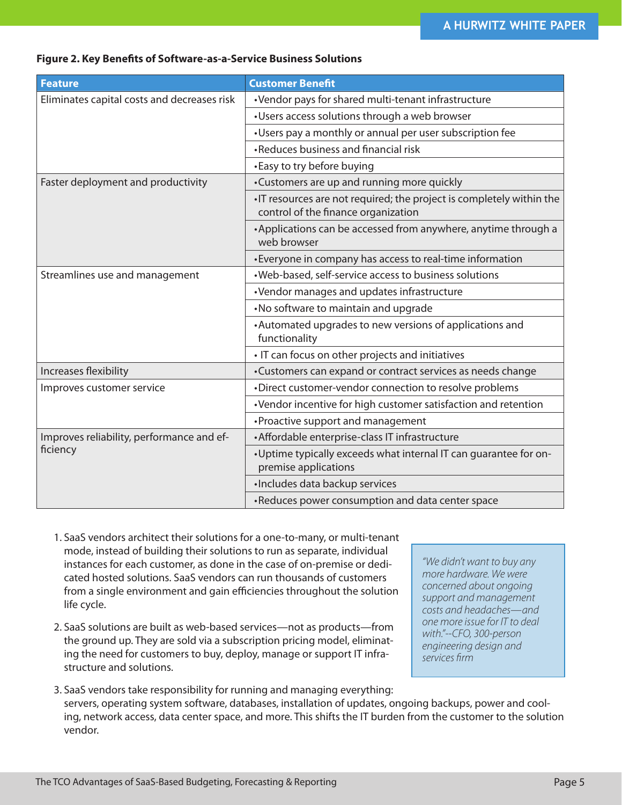#### **Figure 2. Key Benefits of Software-as-a-Service Business Solutions**

| <b>Feature</b>                              | <b>Customer Benefit</b>                                                                                     |  |  |  |  |
|---------------------------------------------|-------------------------------------------------------------------------------------------------------------|--|--|--|--|
| Eliminates capital costs and decreases risk | •Vendor pays for shared multi-tenant infrastructure                                                         |  |  |  |  |
|                                             | •Users access solutions through a web browser                                                               |  |  |  |  |
|                                             | •Users pay a monthly or annual per user subscription fee                                                    |  |  |  |  |
|                                             | •Reduces business and financial risk                                                                        |  |  |  |  |
|                                             | •Easy to try before buying                                                                                  |  |  |  |  |
| Faster deployment and productivity          | •Customers are up and running more quickly                                                                  |  |  |  |  |
|                                             | •IT resources are not required; the project is completely within the<br>control of the finance organization |  |  |  |  |
|                                             | • Applications can be accessed from anywhere, anytime through a<br>web browser                              |  |  |  |  |
|                                             | • Everyone in company has access to real-time information                                                   |  |  |  |  |
| Streamlines use and management              | . Web-based, self-service access to business solutions                                                      |  |  |  |  |
|                                             | ·Vendor manages and updates infrastructure                                                                  |  |  |  |  |
|                                             | •No software to maintain and upgrade                                                                        |  |  |  |  |
|                                             | •Automated upgrades to new versions of applications and<br>functionality                                    |  |  |  |  |
|                                             | • IT can focus on other projects and initiatives                                                            |  |  |  |  |
| Increases flexibility                       | •Customers can expand or contract services as needs change                                                  |  |  |  |  |
| Improves customer service                   | •Direct customer-vendor connection to resolve problems                                                      |  |  |  |  |
|                                             | •Vendor incentive for high customer satisfaction and retention                                              |  |  |  |  |
|                                             | •Proactive support and management                                                                           |  |  |  |  |
| Improves reliability, performance and ef-   | • Affordable enterprise-class IT infrastructure                                                             |  |  |  |  |
| ficiency                                    | . Uptime typically exceeds what internal IT can quarantee for on-<br>premise applications                   |  |  |  |  |
|                                             | · Includes data backup services                                                                             |  |  |  |  |
|                                             | •Reduces power consumption and data center space                                                            |  |  |  |  |

- 1. SaaS vendors architect their solutions for a one-to-many, or multi-tenant mode, instead of building their solutions to run as separate, individual instances for each customer, as done in the case of on-premise or dedicated hosted solutions. SaaS vendors can run thousands of customers from a single environment and gain efficiencies throughout the solution life cycle.
- 2. SaaS solutions are built as web-based services—not as products—from the ground up. They are sold via a subscription pricing model, eliminating the need for customers to buy, deploy, manage or support IT infrastructure and solutions.

*"We didn't want to buy any more hardware. We were concerned about ongoing support and management costs and headaches—and one more issue for IT to deal with."--CFO, 300-person engineering design and services firm*

SaaS vendors take responsibility for running and managing everything: 3. servers, operating system software, databases, installation of updates, ongoing backups, power and cooling, network access, data center space, and more. This shifts the IT burden from the customer to the solution vendor.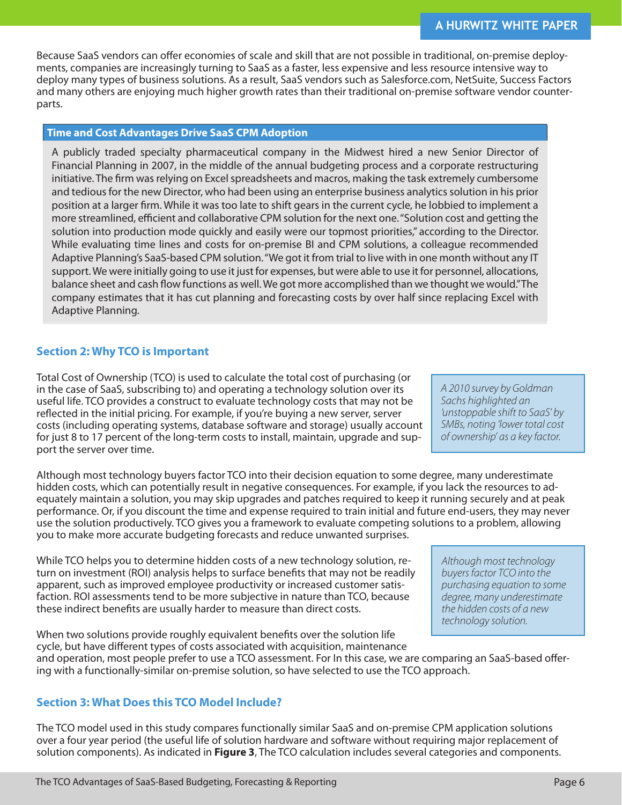Because SaaS vendors can offer economies of scale and skill that are not possible in traditional, on-premise deployments, companies are increasingly turning to SaaS as a faster, less expensive and less resource intensive way to deploy many types of business solutions. As a result, SaaS vendors such as Salesforce.com, NetSuite, Success Factors and many others are enjoying much higher growth rates than their traditional on-premise software vendor counterparts.

# **Time and Cost Advantages Drive SaaS CPM Adoption**

A publicly traded specialty pharmaceutical company in the Midwest hired a new Senior Director of Financial Planning in 2007, in the middle of the annual budgeting process and a corporate restructuring initiative. The firm was relying on Excel spreadsheets and macros, making the task extremely cumbersome and tedious for the new Director, who had been using an enterprise business analytics solution in his prior position at a larger firm. While it was too late to shift gears in the current cycle, he lobbied to implement a more streamlined, efficient and collaborative CPM solution for the next one. "Solution cost and getting the solution into production mode quickly and easily were our topmost priorities," according to the Director. While evaluating time lines and costs for on-premise BI and CPM solutions, a colleague recommended Adaptive Planning's SaaS-based CPM solution. "We got it from trial to live with in one month without any IT support. We were initially going to use it just for expenses, but were able to use it for personnel, allocations, balance sheet and cash flow functions as well. We got more accomplished than we thought we would." The company estimates that it has cut planning and forecasting costs by over half since replacing Excel with Adaptive Planning.

# **Section 2: Why TCO is Important**

Total Cost of Ownership (TCO) is used to calculate the total cost of purchasing (or in the case of SaaS, subscribing to) and operating a technology solution over its useful life. TCO provides a construct to evaluate technology costs that may not be reflected in the initial pricing. For example, if you're buying a new server, server costs (including operating systems, database software and storage) usually account for just 8 to 17 percent of the long-term costs to install, maintain, upgrade and support the server over time.

Although most technology buyers factor TCO into their decision equation to some degree, many underestimate hidden costs, which can potentially result in negative consequences. For example, if you lack the resources to adequately maintain a solution, you may skip upgrades and patches required to keep it running securely and at peak performance. Or, if you discount the time and expense required to train initial and future end-users, they may never use the solution productively. TCO gives you a framework to evaluate competing solutions to a problem, allowing you to make more accurate budgeting forecasts and reduce unwanted surprises.

While TCO helps you to determine hidden costs of a new technology solution, return on investment (ROI) analysis helps to surface benefits that may not be readily apparent, such as improved employee productivity or increased customer satisfaction. ROI assessments tend to be more subjective in nature than TCO, because these indirect benefits are usually harder to measure than direct costs.

When two solutions provide roughly equivalent benefits over the solution life cycle, but have different types of costs associated with acquisition, maintenance and operation, most people prefer to use a TCO assessment. For In this case, we are comparing an SaaS-based offering with a functionally-similar on-premise solution, so have selected to use the TCO approach.

# **Section 3: What Does this TCO Model Include?**

The TCO model used in this study compares functionally similar SaaS and on-premise CPM application solutions over a four year period (the useful life of solution hardware and software without requiring major replacement of solution components). As indicated in **Figure 3**, The TCO calculation includes several categories and components.

*A 2010 survey by Goldman Sachs highlighted an 'unstoppable shift to SaaS' by SMBs, noting 'lower total cost of ownership' as a key factor.*

*Although most technology buyers factor TCO into the purchasing equation to some degree, many underestimate the hidden costs of a new technology solution.*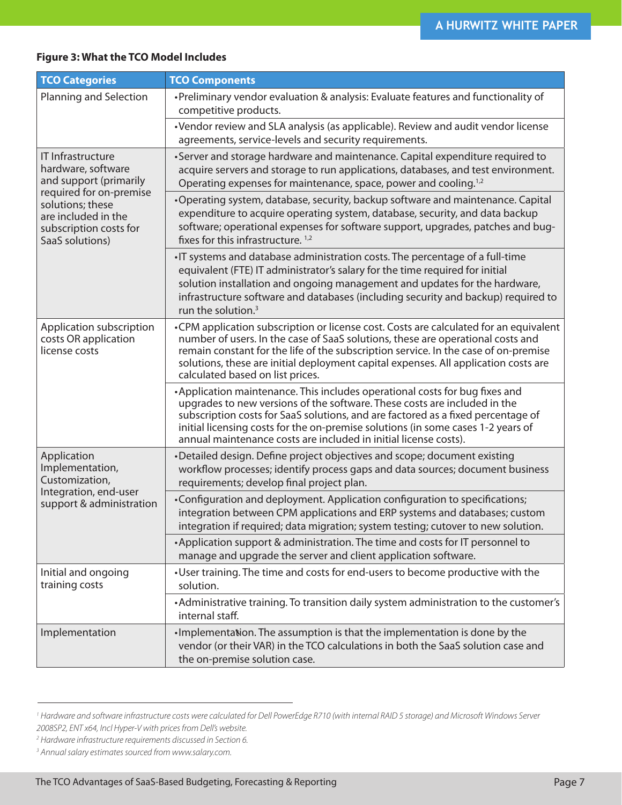# **Figure 3: What the TCO Model Includes**

| <b>TCO Categories</b>                                                                                                                                                                | <b>TCO Components</b>                                                                                                                                                                                                                                                                                                                                                                                 |
|--------------------------------------------------------------------------------------------------------------------------------------------------------------------------------------|-------------------------------------------------------------------------------------------------------------------------------------------------------------------------------------------------------------------------------------------------------------------------------------------------------------------------------------------------------------------------------------------------------|
| Planning and Selection                                                                                                                                                               | • Preliminary vendor evaluation & analysis: Evaluate features and functionality of<br>competitive products.                                                                                                                                                                                                                                                                                           |
|                                                                                                                                                                                      | •Vendor review and SLA analysis (as applicable). Review and audit vendor license<br>agreements, service-levels and security requirements.                                                                                                                                                                                                                                                             |
| IT Infrastructure<br>hardware, software<br>and support (primarily<br>required for on-premise<br>solutions; these<br>are included in the<br>subscription costs for<br>SaaS solutions) | •Server and storage hardware and maintenance. Capital expenditure required to<br>acquire servers and storage to run applications, databases, and test environment.<br>Operating expenses for maintenance, space, power and cooling. <sup>1,2</sup>                                                                                                                                                    |
|                                                                                                                                                                                      | •Operating system, database, security, backup software and maintenance. Capital<br>expenditure to acquire operating system, database, security, and data backup<br>software; operational expenses for software support, upgrades, patches and bug-<br>fixes for this infrastructure. <sup>1,2</sup>                                                                                                   |
|                                                                                                                                                                                      | •IT systems and database administration costs. The percentage of a full-time<br>equivalent (FTE) IT administrator's salary for the time required for initial<br>solution installation and ongoing management and updates for the hardware,<br>infrastructure software and databases (including security and backup) required to<br>run the solution. $3$                                              |
| Application subscription<br>costs OR application<br>license costs                                                                                                                    | •CPM application subscription or license cost. Costs are calculated for an equivalent<br>number of users. In the case of SaaS solutions, these are operational costs and<br>remain constant for the life of the subscription service. In the case of on-premise<br>solutions, these are initial deployment capital expenses. All application costs are<br>calculated based on list prices.            |
|                                                                                                                                                                                      | • Application maintenance. This includes operational costs for bug fixes and<br>upgrades to new versions of the software. These costs are included in the<br>subscription costs for SaaS solutions, and are factored as a fixed percentage of<br>initial licensing costs for the on-premise solutions (in some cases 1-2 years of<br>annual maintenance costs are included in initial license costs). |
| Application<br>Implementation,<br>Customization,<br>Integration, end-user<br>support & administration                                                                                | •Detailed design. Define project objectives and scope; document existing<br>workflow processes; identify process gaps and data sources; document business<br>requirements; develop final project plan.                                                                                                                                                                                                |
|                                                                                                                                                                                      | •Configuration and deployment. Application configuration to specifications;<br>integration between CPM applications and ERP systems and databases; custom<br>integration if required; data migration; system testing; cutover to new solution.                                                                                                                                                        |
|                                                                                                                                                                                      | • Application support & administration. The time and costs for IT personnel to<br>manage and upgrade the server and client application software.                                                                                                                                                                                                                                                      |
| Initial and ongoing<br>training costs                                                                                                                                                | •User training. The time and costs for end-users to become productive with the<br>solution.                                                                                                                                                                                                                                                                                                           |
|                                                                                                                                                                                      | • Administrative training. To transition daily system administration to the customer's<br>internal staff.                                                                                                                                                                                                                                                                                             |
| Implementation                                                                                                                                                                       | . Implementation. The assumption is that the implementation is done by the<br>vendor (or their VAR) in the TCO calculations in both the SaaS solution case and<br>the on-premise solution case.                                                                                                                                                                                                       |

<sup>&</sup>lt;sup>1</sup> Hardware and software infrastructure costs were calculated for Dell PowerEdge R710 (with internal RAID 5 storage) and Microsoft Windows Server *2008SP2, ENT x64, Incl Hyper-V with prices from Dell's website.* 

*<sup>2</sup> Hardware infrastructure requirements discussed in Section 6.* 

*<sup>3</sup> Annual salary estimates sourced from www.salary.com.*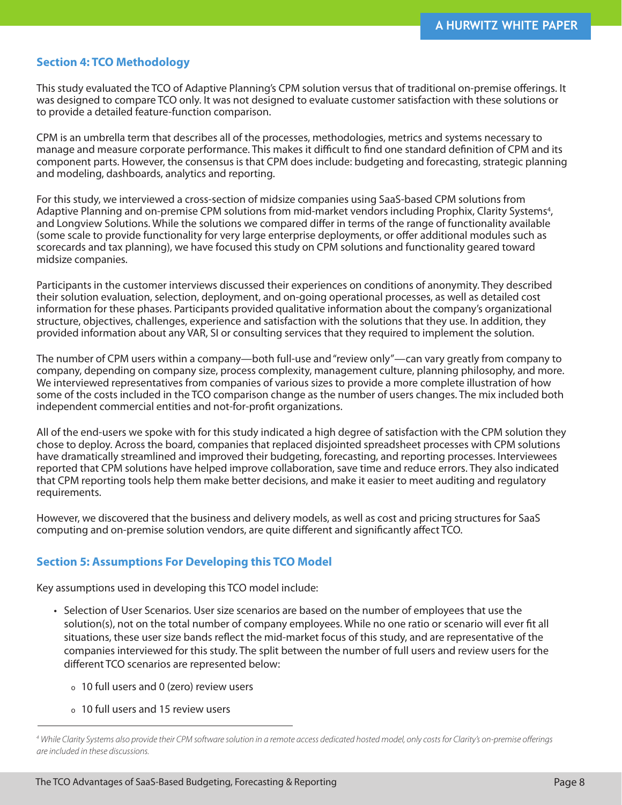# **Section 4: TCO Methodology**

This study evaluated the TCO of Adaptive Planning's CPM solution versus that of traditional on-premise offerings. It was designed to compare TCO only. It was not designed to evaluate customer satisfaction with these solutions or to provide a detailed feature-function comparison.

CPM is an umbrella term that describes all of the processes, methodologies, metrics and systems necessary to manage and measure corporate performance. This makes it difficult to find one standard definition of CPM and its component parts. However, the consensus is that CPM does include: budgeting and forecasting, strategic planning and modeling, dashboards, analytics and reporting.

For this study, we interviewed a cross-section of midsize companies using SaaS-based CPM solutions from Adaptive Planning and on-premise CPM solutions from mid-market vendors including Prophix, Clarity Systems<sup>4</sup>, and Longview Solutions. While the solutions we compared differ in terms of the range of functionality available (some scale to provide functionality for very large enterprise deployments, or offer additional modules such as scorecards and tax planning), we have focused this study on CPM solutions and functionality geared toward midsize companies.

Participants in the customer interviews discussed their experiences on conditions of anonymity. They described their solution evaluation, selection, deployment, and on-going operational processes, as well as detailed cost information for these phases. Participants provided qualitative information about the company's organizational structure, objectives, challenges, experience and satisfaction with the solutions that they use. In addition, they provided information about any VAR, SI or consulting services that they required to implement the solution.

The number of CPM users within a company—both full-use and "review only"—can vary greatly from company to company, depending on company size, process complexity, management culture, planning philosophy, and more. We interviewed representatives from companies of various sizes to provide a more complete illustration of how some of the costs included in the TCO comparison change as the number of users changes. The mix included both independent commercial entities and not-for-profit organizations.

All of the end-users we spoke with for this study indicated a high degree of satisfaction with the CPM solution they chose to deploy. Across the board, companies that replaced disjointed spreadsheet processes with CPM solutions have dramatically streamlined and improved their budgeting, forecasting, and reporting processes. Interviewees reported that CPM solutions have helped improve collaboration, save time and reduce errors. They also indicated that CPM reporting tools help them make better decisions, and make it easier to meet auditing and regulatory requirements.

However, we discovered that the business and delivery models, as well as cost and pricing structures for SaaS computing and on-premise solution vendors, are quite different and significantly affect TCO.

# **Section 5: Assumptions For Developing this TCO Model**

Key assumptions used in developing this TCO model include:

- Selection of User Scenarios. User size scenarios are based on the number of employees that use the solution(s), not on the total number of company employees. While no one ratio or scenario will ever fit all situations, these user size bands reflect the mid-market focus of this study, and are representative of the companies interviewed for this study. The split between the number of full users and review users for the different TCO scenarios are represented below:
	- 10 full users and 0 (zero) review users
	- 10 full users and 15 review users

*<sup>4</sup> While Clarity Systems also provide their CPM software solution in a remote access dedicated hosted model, only costs for Clarity's on-premise offerings are included in these discussions.*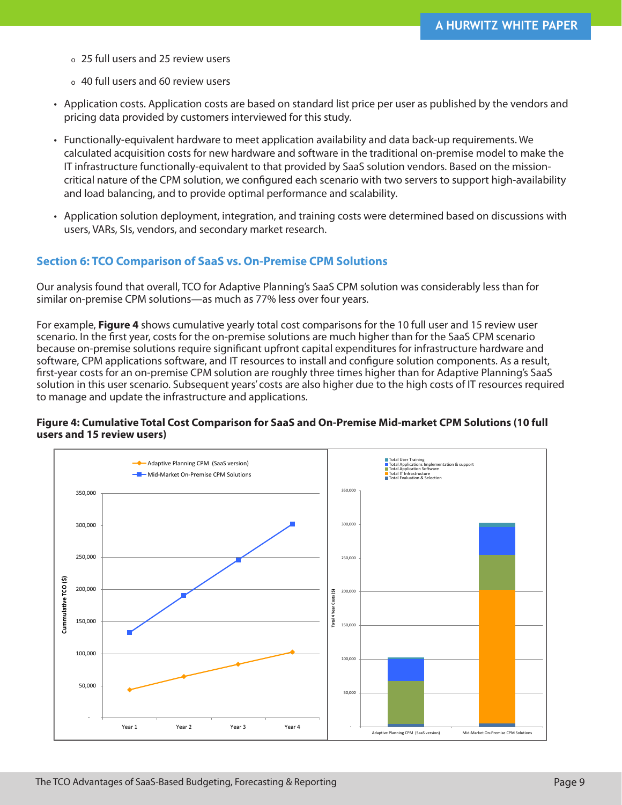- 25 full users and 25 review users
- 40 full users and 60 review users
- Application costs. Application costs are based on standard list price per user as published by the vendors and pricing data provided by customers interviewed for this study.
- Functionally-equivalent hardware to meet application availability and data back-up requirements. We calculated acquisition costs for new hardware and software in the traditional on-premise model to make the IT infrastructure functionally-equivalent to that provided by SaaS solution vendors. Based on the missioncritical nature of the CPM solution, we configured each scenario with two servers to support high-availability and load balancing, and to provide optimal performance and scalability.
- Application solution deployment, integration, and training costs were determined based on discussions with users, VARs, SIs, vendors, and secondary market research.

# **Section 6: TCO Comparison of SaaS vs. On-Premise CPM Solutions**

Our analysis found that overall, TCO for Adaptive Planning's SaaS CPM solution was considerably less than for similar on-premise CPM solutions—as much as 77% less over four years.

For example, **Figure 4** shows cumulative yearly total cost comparisons for the 10 full user and 15 review user scenario. In the first year, costs for the on-premise solutions are much higher than for the SaaS CPM scenario because on-premise solutions require significant upfront capital expenditures for infrastructure hardware and software, CPM applications software, and IT resources to install and configure solution components. As a result, first-year costs for an on-premise CPM solution are roughly three times higher than for Adaptive Planning's SaaS solution in this user scenario. Subsequent years' costs are also higher due to the high costs of IT resources required to manage and update the infrastructure and applications.

#### **Figure 4: Cumulative Total Cost Comparison for SaaS and On-Premise Mid-market CPM Solutions (10 full users and 15 review users)**

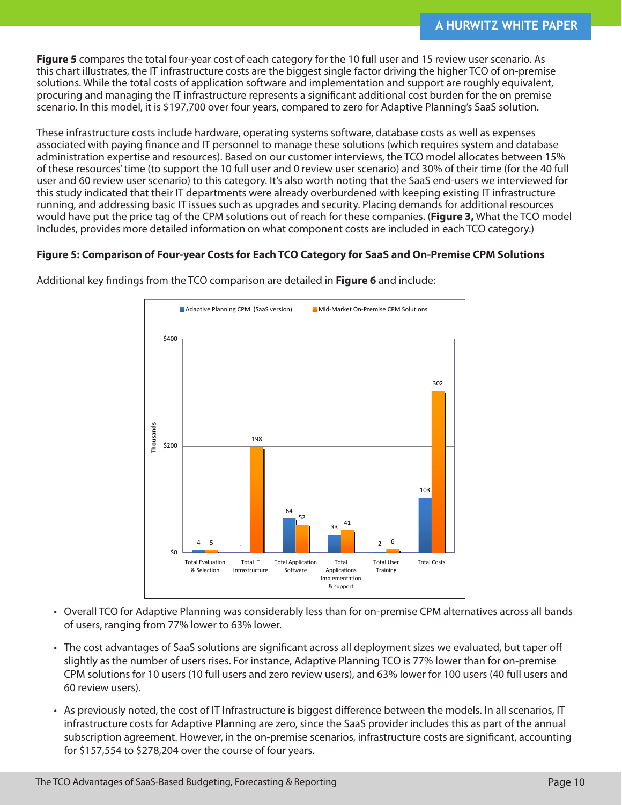**Figure 5** compares the total four-year cost of each category for the 10 full user and 15 review user scenario. As this chart illustrates, the IT infrastructure costs are the biggest single factor driving the higher TCO of on-premise solutions. While the total costs of application software and implementation and support are roughly equivalent, procuring and managing the IT infrastructure represents a significant additional cost burden for the on premise scenario. In this model, it is \$197,700 over four years, compared to zero for Adaptive Planning's SaaS solution.

These infrastructure costs include hardware, operating systems software, database costs as well as expenses associated with paying finance and IT personnel to manage these solutions (which requires system and database administration expertise and resources). Based on our customer interviews, the TCO model allocates between 15% of these resources' time (to support the 10 full user and 0 review user scenario) and 30% of their time (for the 40 full user and 60 review user scenario) to this category. It's also worth noting that the SaaS end-users we interviewed for this study indicated that their IT departments were already overburdened with keeping existing IT infrastructure running, and addressing basic IT issues such as upgrades and security. Placing demands for additional resources would have put the price tag of the CPM solutions out of reach for these companies. (**Figure 3,** What the TCO model Includes, provides more detailed information on what component costs are included in each TCO category.)

# **Figure 5: Comparison of Four-year Costs for Each TCO Category for SaaS and On-Premise CPM Solutions**



Additional key findings from the TCO comparison are detailed in **Figure 6** and include:

- Overall TCO for Adaptive Planning was considerably less than for on-premise CPM alternatives across all bands of users, ranging from 77% lower to 63% lower.
- The cost advantages of SaaS solutions are significant across all deployment sizes we evaluated, but taper off slightly as the number of users rises. For instance, Adaptive Planning TCO is 77% lower than for on-premise CPM solutions for 10 users (10 full users and zero review users), and 63% lower for 100 users (40 full users and 60 review users).
- As previously noted, the cost of IT Infrastructure is biggest difference between the models. In all scenarios, IT infrastructure costs for Adaptive Planning are zero, since the SaaS provider includes this as part of the annual subscription agreement. However, in the on-premise scenarios, infrastructure costs are significant, accounting for \$157,554 to \$278,204 over the course of four years.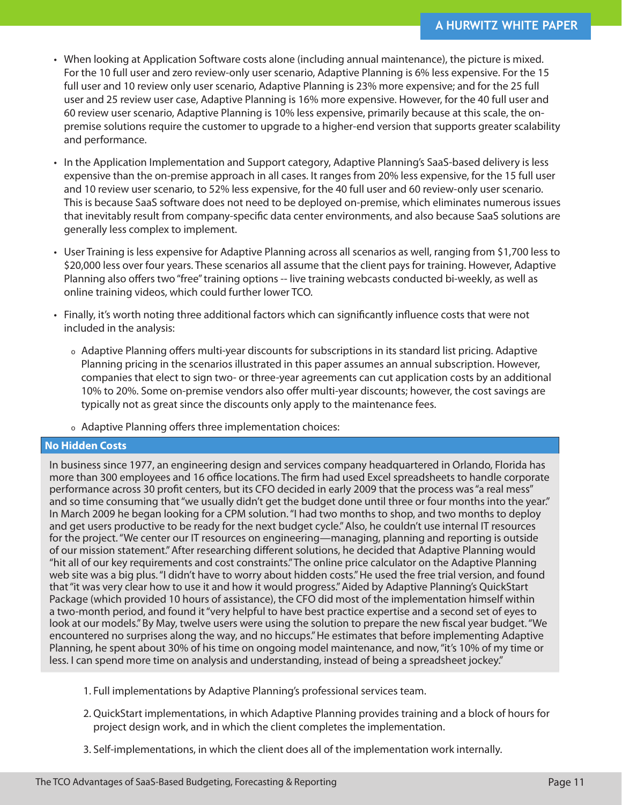- When looking at Application Software costs alone (including annual maintenance), the picture is mixed. For the 10 full user and zero review-only user scenario, Adaptive Planning is 6% less expensive. For the 15 full user and 10 review only user scenario, Adaptive Planning is 23% more expensive; and for the 25 full user and 25 review user case, Adaptive Planning is 16% more expensive. However, for the 40 full user and 60 review user scenario, Adaptive Planning is 10% less expensive, primarily because at this scale, the onpremise solutions require the customer to upgrade to a higher-end version that supports greater scalability and performance.
- In the Application Implementation and Support category, Adaptive Planning's SaaS-based delivery is less expensive than the on-premise approach in all cases. It ranges from 20% less expensive, for the 15 full user and 10 review user scenario, to 52% less expensive, for the 40 full user and 60 review-only user scenario. This is because SaaS software does not need to be deployed on-premise, which eliminates numerous issues that inevitably result from company-specific data center environments, and also because SaaS solutions are generally less complex to implement.
- User Training is less expensive for Adaptive Planning across all scenarios as well, ranging from \$1,700 less to \$20,000 less over four years. These scenarios all assume that the client pays for training. However, Adaptive Planning also offers two "free" training options -- live training webcasts conducted bi-weekly, as well as online training videos, which could further lower TCO.
- Finally, it's worth noting three additional factors which can significantly influence costs that were not included in the analysis:
	- Adaptive Planning offers multi-year discounts for subscriptions in its standard list pricing. Adaptive Planning pricing in the scenarios illustrated in this paper assumes an annual subscription. However, companies that elect to sign two- or three-year agreements can cut application costs by an additional 10% to 20%. Some on-premise vendors also offer multi-year discounts; however, the cost savings are typically not as great since the discounts only apply to the maintenance fees.
	- Adaptive Planning offers three implementation choices:

#### **No Hidden Costs**

In business since 1977, an engineering design and services company headquartered in Orlando, Florida has more than 300 employees and 16 office locations. The firm had used Excel spreadsheets to handle corporate performance across 30 profit centers, but its CFO decided in early 2009 that the process was "a real mess" and so time consuming that "we usually didn't get the budget done until three or four months into the year." In March 2009 he began looking for a CPM solution. "I had two months to shop, and two months to deploy and get users productive to be ready for the next budget cycle." Also, he couldn't use internal IT resources for the project. "We center our IT resources on engineering—managing, planning and reporting is outside of our mission statement." After researching different solutions, he decided that Adaptive Planning would "hit all of our key requirements and cost constraints." The online price calculator on the Adaptive Planning web site was a big plus. "I didn't have to worry about hidden costs." He used the free trial version, and found that "it was very clear how to use it and how it would progress." Aided by Adaptive Planning's QuickStart Package (which provided 10 hours of assistance), the CFO did most of the implementation himself within a two-month period, and found it "very helpful to have best practice expertise and a second set of eyes to look at our models." By May, twelve users were using the solution to prepare the new fiscal year budget. "We encountered no surprises along the way, and no hiccups." He estimates that before implementing Adaptive Planning, he spent about 30% of his time on ongoing model maintenance, and now, "it's 10% of my time or less. I can spend more time on analysis and understanding, instead of being a spreadsheet jockey."

- 1. Full implementations by Adaptive Planning's professional services team.
- 2. QuickStart implementations, in which Adaptive Planning provides training and a block of hours for project design work, and in which the client completes the implementation.
- Self-implementations, in which the client does all of the implementation work internally. 3.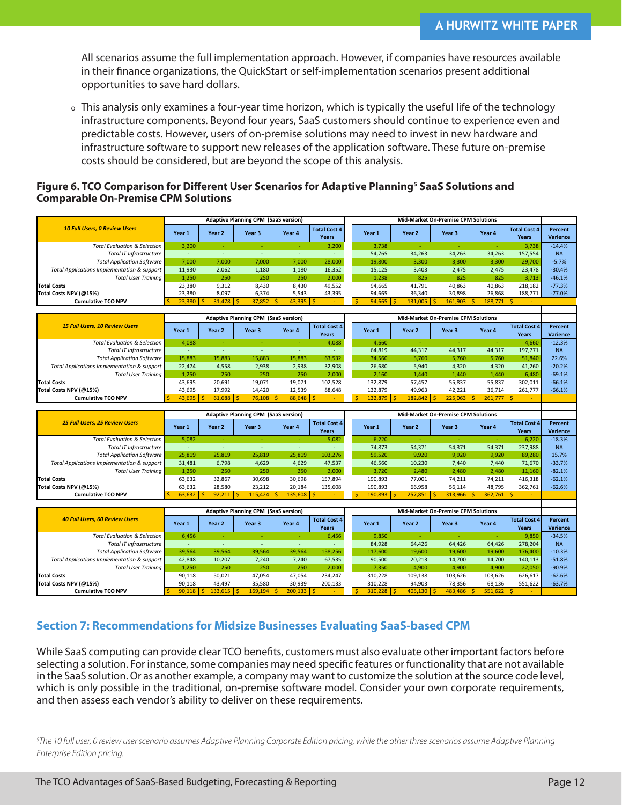All scenarios assume the full implementation approach. However, if companies have resources available in their finance organizations, the QuickStart or self-implementation scenarios present additional opportunities to save hard dollars.

This analysis only examines a four-year time horizon, which is typically the useful life of the technology infrastructure components. Beyond four years, SaaS customers should continue to experience even and predictable costs. However, users of on-premise solutions may need to invest in new hardware and infrastructure software to support new releases of the application software. These future on-premise costs should be considered, but are beyond the scope of this analysis.

#### Figure 6. TCO Comparison for Different User Scenarios for Adaptive Planning<sup>5</sup> SaaS Solutions and **Comparable On-Premise CPM Solutions**

|                                                        | <b>Adaptive Planning CPM (SaaS version)</b> |                   |                                             |                   |                                     | <b>Mid-Market On-Premise CPM Solutions</b> |                         |                                            |                         |                              |                            |
|--------------------------------------------------------|---------------------------------------------|-------------------|---------------------------------------------|-------------------|-------------------------------------|--------------------------------------------|-------------------------|--------------------------------------------|-------------------------|------------------------------|----------------------------|
| <b>10 Full Users, O Review Users</b>                   | Year 1                                      | Year 2            | Year 3                                      | Year 4            | <b>Total Cost 4</b><br><b>Years</b> | Year 1                                     | Year 2                  | Year 3                                     | Year 4                  | <b>Total Cost 4</b><br>Years | Percent<br><b>Varience</b> |
| <b>Total Evaluation &amp; Selection</b>                | 3,200                                       | $\omega$          | $\sim$                                      | $\sim$            | 3,200                               | 3,738                                      |                         |                                            |                         | 3,738                        | $-14.4%$                   |
| <b>Total IT Infrastructure</b>                         | $\sim$                                      | $\sim$            | ×.                                          | $\sim$            | $\overline{\phantom{a}}$            | 54,765                                     | 34,263                  | 34,263                                     | 34,263                  | 157,554                      | <b>NA</b>                  |
| <b>Total Application Software</b>                      | 7,000                                       | 7,000             | 7,000                                       | 7,000             | 28,000                              | 19,800                                     | 3,300                   | 3,300                                      | 3,300                   | 29,700                       | $-5.7%$                    |
| <b>Total Applications Implementation &amp; support</b> | 11,930                                      | 2,062             | 1,180                                       | 1,180             | 16,352                              | 15,125                                     | 3,403                   | 2,475                                      | 2,475                   | 23,478                       | $-30.4%$                   |
| <b>Total User Training</b>                             | 1,250                                       | 250               | 250                                         | 250               | 2,000                               | 1.238                                      | 825                     | 825                                        | 825                     | 3,713                        | $-46.1%$                   |
| <b>Total Costs</b>                                     | 23,380                                      | 9,312             | 8.430                                       | 8,430             | 49,552                              | 94,665                                     | 41,791                  | 40,863                                     | 40,863                  | 218,182                      | $-77.3%$                   |
| Total Costs NPV (@15%)                                 | 23,380                                      | 8,097             | 6,374                                       | 5,543             | 43,395                              | 94,665<br>Š.                               | 36,340                  | 30,898                                     | 26,868                  | 188,771                      | $-77.0%$                   |
| <b>Cumulative TCO NPV</b>                              | $23,380$   \$                               | $31,478$ \$       | $37,852$   \$                               | 43,395            | -Ś                                  | 94,665                                     | $131,005$   \$<br>-Ś    | 161,903                                    | Ŝ.<br>188.771           | ١Ś                           |                            |
|                                                        |                                             |                   | <b>Adaptive Planning CPM (SaaS version)</b> |                   |                                     |                                            |                         | <b>Mid-Market On-Premise CPM Solutions</b> |                         |                              |                            |
| <b>15 Full Users, 10 Review Users</b>                  | Year 1                                      | Year 2            |                                             | Year 4            | <b>Total Cost 4</b>                 | Year 1                                     | Year <sub>2</sub>       | Year 3                                     |                         | <b>Total Cost 4</b>          | <b>Percent</b>             |
|                                                        |                                             |                   | Year 3                                      |                   | Years                               |                                            |                         |                                            | Year 4                  | Years                        | <b>Varience</b>            |
| <b>Total Evaluation &amp; Selection</b>                | 4.088                                       | $\sim$            | ×.                                          |                   | 4.088                               | 4.660                                      | $\sim$                  | $\sim$                                     | $\sim$                  | 4.660                        | $-12.3%$                   |
| <b>Total IT Infrastructure</b>                         | ÷                                           | ÷                 | ÷,                                          | ÷.                | ÷.                                  | 64,819                                     | 44,317                  | 44,317                                     | 44.317                  | 197,771                      | <b>NA</b>                  |
| <b>Total Application Software</b>                      | 15,883                                      | 15,883            | 15,883                                      | 15,883            | 63,532                              | 34,560                                     | 5,760                   | 5,760                                      | 5,760                   | 51,840                       | 22.6%                      |
| <b>Total Applications Implementation &amp; support</b> | 22,474                                      | 4,558             | 2,938                                       | 2,938             | 32,908                              | 26,680                                     | 5,940                   | 4,320                                      | 4,320                   | 41,260                       | $-20.2%$                   |
| <b>Total User Training</b>                             | 1,250                                       | 250               | 250                                         | 250               | 2,000                               | 2,160                                      | 1,440                   | 1,440                                      | 1,440                   | 6,480                        | $-69.1%$                   |
| <b>Total Costs</b>                                     | 43,695                                      | 20,691            | 19,071                                      | 19,071            | 102,528                             | 132,879                                    | 57,457                  | 55,837                                     | 55,837                  | 302,011                      | $-66.1%$                   |
| Total Costs NPV (@15%)                                 | 43,695                                      | 17.992            | 14,420                                      | 12,539            | 88,648                              | 132,879                                    | 49,963                  | 42,221                                     | 36,714<br>ς             | 261,777                      | $-66.1%$                   |
| <b>Cumulative TCO NPV</b>                              | 43,695                                      | -Ś<br>61,688      | Ŝ<br>$76,108$ $\frac{1}{5}$                 | 88,648            | Ŝ.                                  | Ś.<br>132,879                              | 182,842                 | -Ś.<br>225,063                             | 261,777                 | Ŝ.                           |                            |
| <b>Adaptive Planning CPM (SaaS version)</b>            |                                             |                   |                                             |                   |                                     |                                            |                         |                                            |                         |                              |                            |
|                                                        |                                             |                   |                                             |                   |                                     |                                            |                         | <b>Mid-Market On-Premise CPM Solutions</b> |                         |                              |                            |
| <b>25 Full Users, 25 Review Users</b>                  |                                             |                   |                                             |                   | <b>Total Cost 4</b>                 |                                            |                         |                                            |                         | <b>Total Cost 4</b>          | Percent                    |
|                                                        | Year 1                                      | Year 2            | Year 3                                      | Year 4            | Years                               | Year 1                                     | Year <sub>2</sub>       | Year 3                                     | Year 4                  | Years                        | <b>Varience</b>            |
| <b>Total Evaluation &amp; Selection</b>                | 5,082                                       |                   |                                             |                   | 5,082                               | 6,220                                      |                         |                                            |                         | 6,220                        | $-18.3%$                   |
| <b>Total IT Infrastructure</b>                         | $\sim$                                      | ÷                 | ä,                                          | ×.                | $\sim$                              | 74,873                                     | 54,371                  | 54,371                                     | 54,371                  | 237,988                      | <b>NA</b>                  |
| <b>Total Application Software</b>                      | 25,819                                      | 25,819            | 25,819                                      | 25,819            | 103,276                             | 59,520                                     | 9,920                   | 9,920                                      | 9,920                   | 89,280                       | 15.7%                      |
| <b>Total Applications Implementation &amp; support</b> | 31,481                                      | 6,798             | 4,629                                       | 4,629             | 47,537                              | 46,560                                     | 10,230                  | 7,440                                      | 7,440                   | 71,670                       | $-33.7%$                   |
| <b>Total User Training</b>                             | 1,250                                       | 250               | 250                                         | 250               | 2,000                               | 3,720                                      | 2,480                   | 2,480                                      | 2,480                   | 11,160                       | $-82.1%$                   |
| <b>Total Costs</b>                                     | 63,632                                      | 32,867            | 30,698                                      | 30,698            | 157,894                             | 190,893                                    | 77,001                  | 74,211                                     | 74,211                  | 416,318                      | $-62.1%$                   |
| Total Costs NPV (@15%)                                 | 63,632                                      | 28,580            | 23,212                                      | 20,184            | 135,608                             | 190,893                                    | 66,958                  | 56,114                                     | 48,795                  | 362,761                      | $-62.6%$                   |
| <b>Cumulative TCO NPV</b>                              | $63,632$   \$                               | $92,211$   \$     | $115,424$   \$                              | $135,608$   \$    |                                     | Ŝ.<br>$190,893$   \$                       | $257,851$   \$          | $313,966$ \$                               | $362,761$   \$          |                              |                            |
|                                                        |                                             |                   |                                             |                   |                                     |                                            |                         | <b>Mid-Market On-Premise CPM Solutions</b> |                         |                              |                            |
| <b>40 Full Users, 60 Review Users</b>                  |                                             |                   | <b>Adaptive Planning CPM (SaaS version)</b> |                   | <b>Total Cost 4</b>                 |                                            |                         |                                            |                         | <b>Total Cost 4</b>          | <b>Percent</b>             |
|                                                        | Year 1                                      | Year 2            | Year 3                                      | Year 4            | Years                               | Year 1                                     | Year 2                  | Year 3                                     | Year 4                  | Years                        | <b>Varience</b>            |
| <b>Total Evaluation &amp; Selection</b>                | 6,456                                       | $\sim$            | $\sim$                                      | $\sim$            | 6,456                               | 9,850                                      | $\sim$                  | $\sim$                                     | $\sim$                  | 9,850                        | $-34.5%$                   |
| <b>Total IT Infrastructure</b>                         | $\sim$                                      | $\sim$            | ÷.                                          | ×.                | $\sim$                              | 84,928                                     | 64,426                  | 64,426                                     | 64,426                  | 278,204                      | <b>NA</b>                  |
| <b>Total Application Software</b>                      | 39,564                                      | 39,564            | 39,564                                      | 39,564            | 158,256                             | 117,600                                    | 19,600                  | 19,600                                     | 19,600                  | 176,400                      | $-10.3%$                   |
| <b>Total Applications Implementation &amp; support</b> | 42,848                                      | 10,207            | 7,240                                       | 7,240             | 67,535                              | 90,500                                     | 20,213                  | 14,700                                     | 14,700                  | 140,113                      | $-51.8%$                   |
| <b>Total User Training</b>                             | 1,250                                       | 250               | 250                                         | 250               | 2,000                               | 7,350                                      | 4,900                   | 4,900                                      | 4,900                   | 22,050                       | $-90.9%$                   |
| <b>Total Costs</b>                                     | 90,118                                      | 50,021            | 47,054                                      | 47,054            | 234,247                             | 310,228                                    | 109,138                 | 103,626                                    | 103,626                 | 626,617                      | $-62.6%$                   |
| Total Costs NPV (@15%)<br><b>Cumulative TCO NPV</b>    | 90,118<br>$90,118$ \$                       | 43,497<br>133,615 | 35,580<br>$169, 194$ \$<br>-Ś               | 30,939<br>200,133 | 200,133<br>Ŝ                        | 310,228<br>Ś.<br>310,228                   | 94,903<br>405,130<br>-Ŝ | 78,356<br>-Ś.<br>483,486                   | 68,136<br>Š.<br>551,622 | 551,622                      | $-63.7%$                   |

# **Section 7: Recommendations for Midsize Businesses Evaluating SaaS-based CPM**

While SaaS computing can provide clear TCO benefits, customers must also evaluate other important factors before selecting a solution. For instance, some companies may need specific features or functionality that are not available in the SaaS solution. Or as another example, a company may want to customize the solution at the source code level, which is only possible in the traditional, on-premise software model. Consider your own corporate requirements, and then assess each vendor's ability to deliver on these requirements.

*<sup>5</sup> The 10 full user, 0 review user scenario assumes Adaptive Planning Corporate Edition pricing, while the other three scenarios assume Adaptive Planning Enterprise Edition pricing.*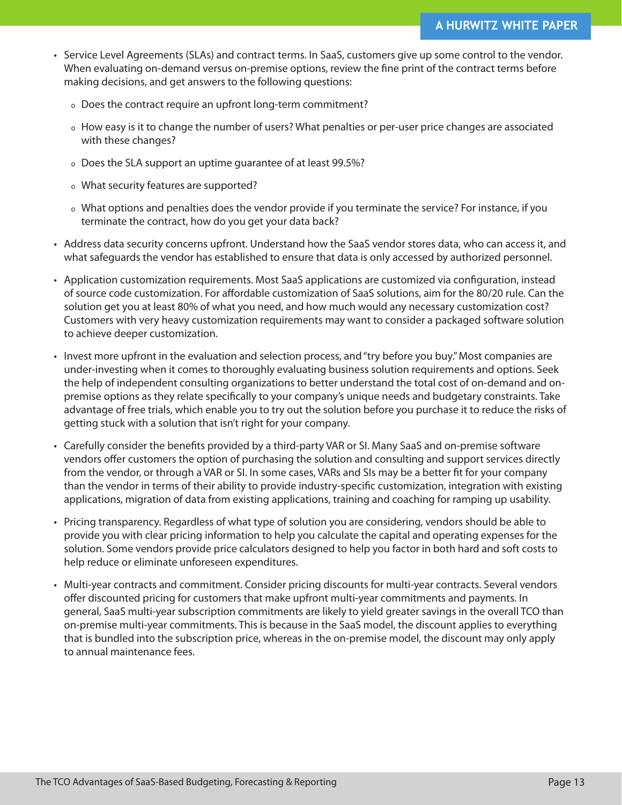- Service Level Agreements (SLAs) and contract terms. In SaaS, customers give up some control to the vendor. When evaluating on-demand versus on-premise options, review the fine print of the contract terms before making decisions, and get answers to the following questions:
	- Does the contract require an upfront long-term commitment?
	- o How easy is it to change the number of users? What penalties or per-user price changes are associated with these changes?
	- Does the SLA support an uptime guarantee of at least 99.5%?
	- What security features are supported?
	- What options and penalties does the vendor provide if you terminate the service? For instance, if you terminate the contract, how do you get your data back?
- Address data security concerns upfront. Understand how the SaaS vendor stores data, who can access it, and what safeguards the vendor has established to ensure that data is only accessed by authorized personnel.
- Application customization requirements. Most SaaS applications are customized via configuration, instead of source code customization. For affordable customization of SaaS solutions, aim for the 80/20 rule. Can the solution get you at least 80% of what you need, and how much would any necessary customization cost? Customers with very heavy customization requirements may want to consider a packaged software solution to achieve deeper customization.
- Invest more upfront in the evaluation and selection process, and "try before you buy." Most companies are under-investing when it comes to thoroughly evaluating business solution requirements and options. Seek the help of independent consulting organizations to better understand the total cost of on-demand and onpremise options as they relate specifically to your company's unique needs and budgetary constraints. Take advantage of free trials, which enable you to try out the solution before you purchase it to reduce the risks of getting stuck with a solution that isn't right for your company.
- Carefully consider the benefits provided by a third-party VAR or SI. Many SaaS and on-premise software vendors offer customers the option of purchasing the solution and consulting and support services directly from the vendor, or through a VAR or SI. In some cases, VARs and SIs may be a better fit for your company than the vendor in terms of their ability to provide industry-specific customization, integration with existing applications, migration of data from existing applications, training and coaching for ramping up usability.
- Pricing transparency. Regardless of what type of solution you are considering, vendors should be able to provide you with clear pricing information to help you calculate the capital and operating expenses for the solution. Some vendors provide price calculators designed to help you factor in both hard and soft costs to help reduce or eliminate unforeseen expenditures.
- Multi-year contracts and commitment. Consider pricing discounts for multi-year contracts. Several vendors •offer discounted pricing for customers that make upfront multi-year commitments and payments. In general, SaaS multi-year subscription commitments are likely to yield greater savings in the overall TCO than on-premise multi-year commitments. This is because in the SaaS model, the discount applies to everything that is bundled into the subscription price, whereas in the on-premise model, the discount may only apply to annual maintenance fees.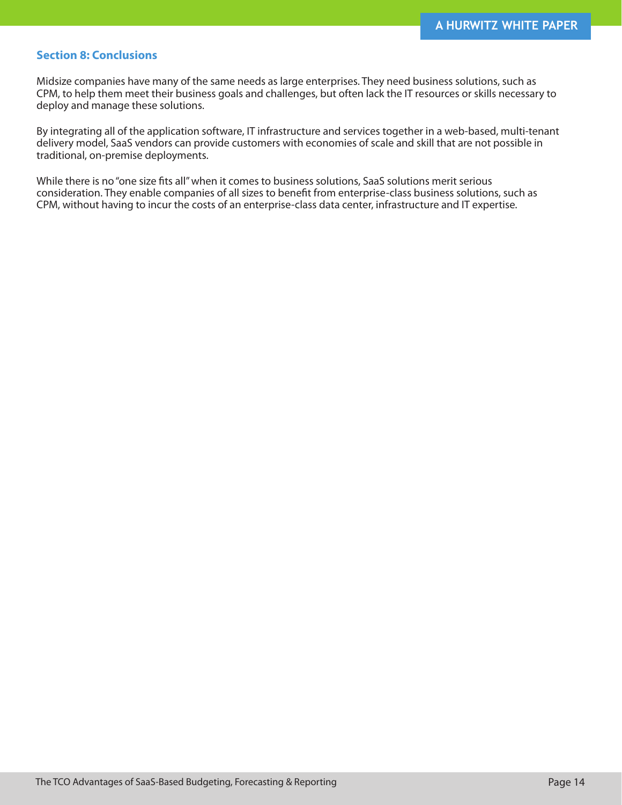#### **Section 8: Conclusions**

Midsize companies have many of the same needs as large enterprises. They need business solutions, such as CPM, to help them meet their business goals and challenges, but often lack the IT resources or skills necessary to deploy and manage these solutions.

By integrating all of the application software, IT infrastructure and services together in a web-based, multi-tenant delivery model, SaaS vendors can provide customers with economies of scale and skill that are not possible in traditional, on-premise deployments.

While there is no "one size fits all" when it comes to business solutions, SaaS solutions merit serious consideration. They enable companies of all sizes to benefit from enterprise-class business solutions, such as CPM, without having to incur the costs of an enterprise-class data center, infrastructure and IT expertise.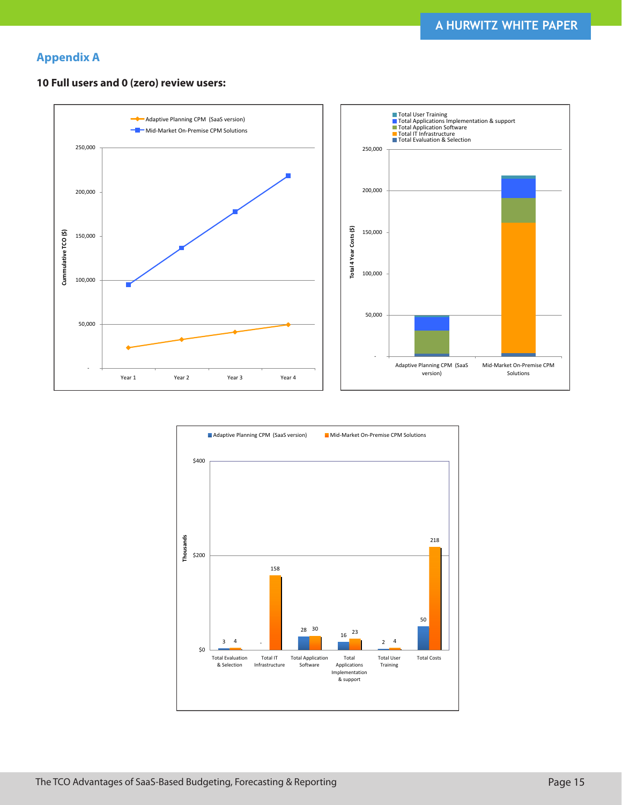# **Appendix A**

#### **10 Full users and 0 (zero) review users:**





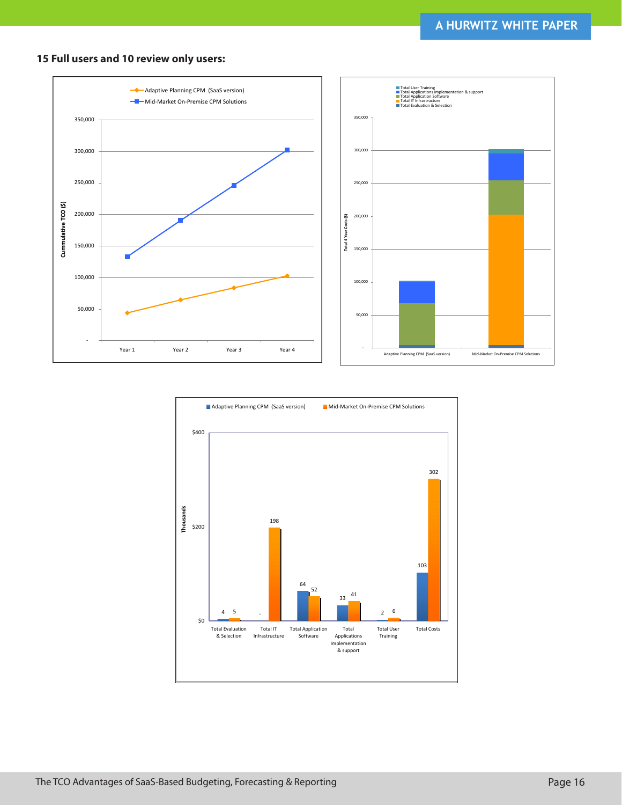# **15 Full users and 10 review only users:**



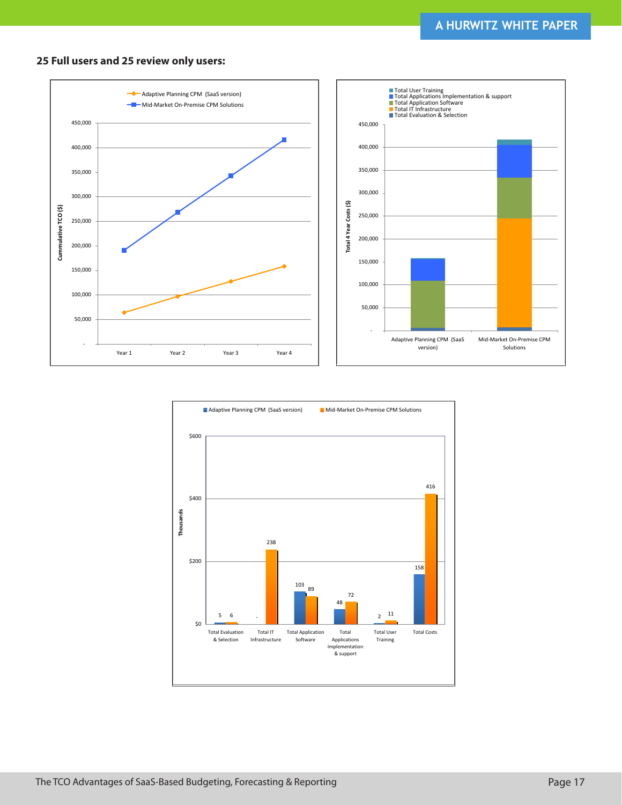# **25 Full users and 25 review only users:**





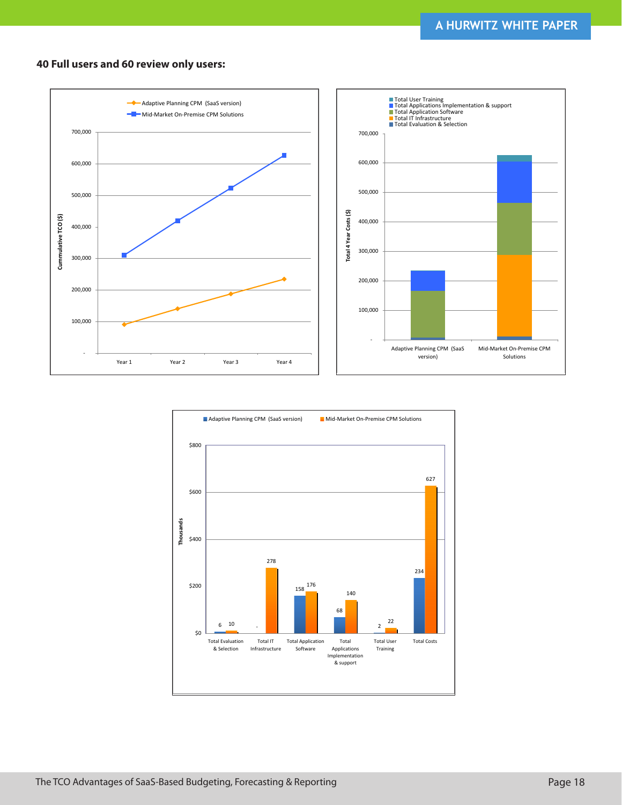# **40 Full users and 60 review only users:**